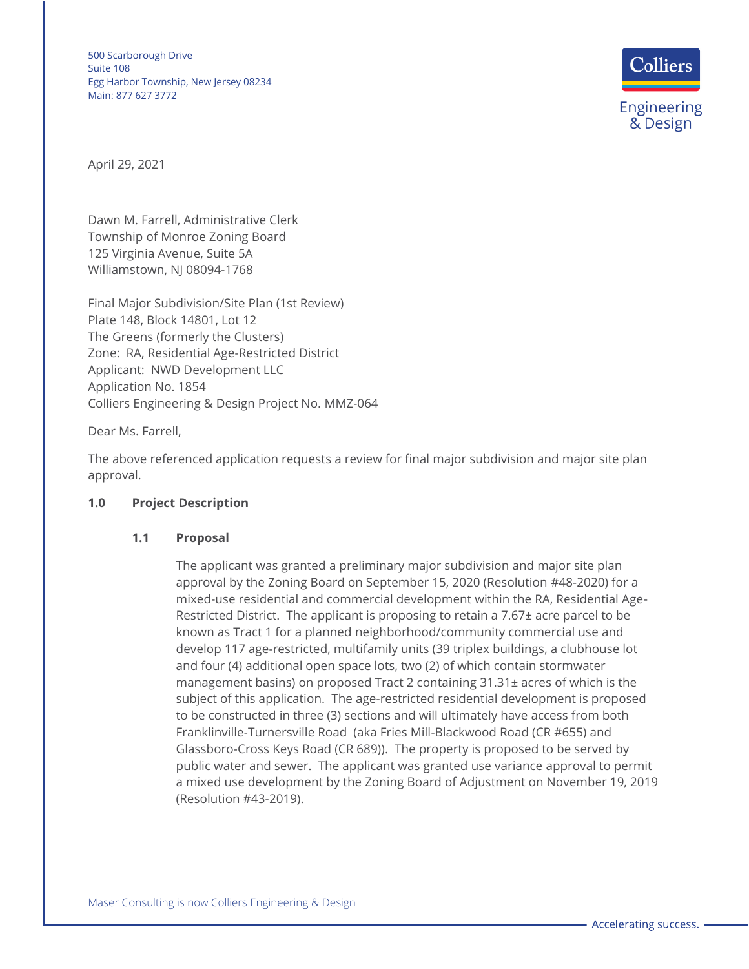

April 29, 2021

Dawn M. Farrell, Administrative Clerk Township of Monroe Zoning Board 125 Virginia Avenue, Suite 5A Williamstown, NJ 08094-1768

Final Major Subdivision/Site Plan (1st Review) Plate 148, Block 14801, Lot 12 The Greens (formerly the Clusters) Zone: RA, Residential Age-Restricted District Applicant: NWD Development LLC Application No. 1854 Colliers Engineering & Design Project No. MMZ-064

Dear Ms. Farrell,

The above referenced application requests a review for final major subdivision and major site plan approval.

### **1.0 Project Description**

### **1.1 Proposal**

The applicant was granted a preliminary major subdivision and major site plan approval by the Zoning Board on September 15, 2020 (Resolution #48-2020) for a mixed-use residential and commercial development within the RA, Residential Age-Restricted District. The applicant is proposing to retain a 7.67± acre parcel to be known as Tract 1 for a planned neighborhood/community commercial use and develop 117 age-restricted, multifamily units (39 triplex buildings, a clubhouse lot and four (4) additional open space lots, two (2) of which contain stormwater management basins) on proposed Tract 2 containing 31.31± acres of which is the subject of this application. The age-restricted residential development is proposed to be constructed in three (3) sections and will ultimately have access from both Franklinville-Turnersville Road (aka Fries Mill-Blackwood Road (CR #655) and Glassboro-Cross Keys Road (CR 689)). The property is proposed to be served by public water and sewer. The applicant was granted use variance approval to permit a mixed use development by the Zoning Board of Adjustment on November 19, 2019 (Resolution #43-2019).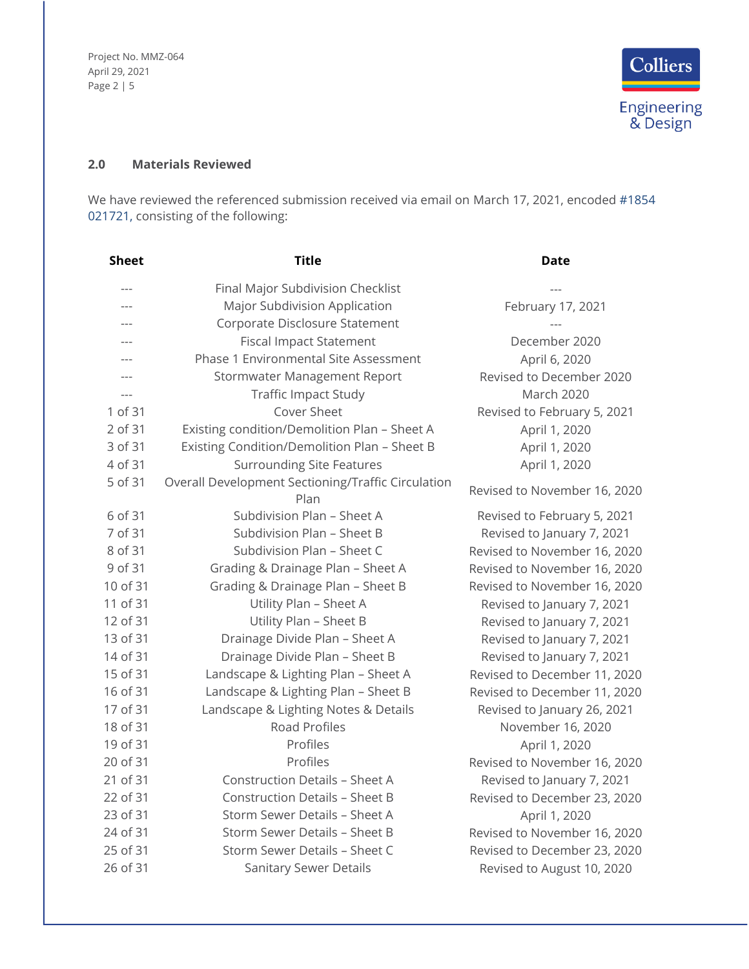Project No. MMZ-064 April 29, 2021 Page 2 | 5



# **2.0 Materials Reviewed**

We have reviewed the referenced submission received via email on March 17, 2021, encoded #1854 021721, consisting of the following:

| <b>Sheet</b> | <b>Title</b>                                               | <b>Date</b>                  |
|--------------|------------------------------------------------------------|------------------------------|
|              | Final Major Subdivision Checklist                          |                              |
| $---$        | Major Subdivision Application                              | February 17, 2021            |
| $---$        | Corporate Disclosure Statement                             |                              |
| $---$        | <b>Fiscal Impact Statement</b>                             | December 2020                |
| $---$        | Phase 1 Environmental Site Assessment                      | April 6, 2020                |
|              | Stormwater Management Report                               | Revised to December 2020     |
| $---$        | <b>Traffic Impact Study</b>                                | March 2020                   |
| 1 of 31      | Cover Sheet                                                | Revised to February 5, 2021  |
| 2 of 31      | Existing condition/Demolition Plan - Sheet A               | April 1, 2020                |
| 3 of 31      | Existing Condition/Demolition Plan - Sheet B               | April 1, 2020                |
| 4 of 31      | <b>Surrounding Site Features</b>                           | April 1, 2020                |
| 5 of 31      | Overall Development Sectioning/Traffic Circulation<br>Plan | Revised to November 16, 2020 |
| 6 of 31      | Subdivision Plan - Sheet A                                 | Revised to February 5, 2021  |
| 7 of 31      | Subdivision Plan - Sheet B                                 | Revised to January 7, 2021   |
| 8 of 31      | Subdivision Plan - Sheet C                                 | Revised to November 16, 2020 |
| 9 of 31      | Grading & Drainage Plan - Sheet A                          | Revised to November 16, 2020 |
| 10 of 31     | Grading & Drainage Plan - Sheet B                          | Revised to November 16, 2020 |
| 11 of 31     | Utility Plan - Sheet A                                     | Revised to January 7, 2021   |
| 12 of 31     | Utility Plan - Sheet B                                     | Revised to January 7, 2021   |
| 13 of 31     | Drainage Divide Plan - Sheet A                             | Revised to January 7, 2021   |
| 14 of 31     | Drainage Divide Plan - Sheet B                             | Revised to January 7, 2021   |
| 15 of 31     | Landscape & Lighting Plan - Sheet A                        | Revised to December 11, 2020 |
| 16 of 31     | Landscape & Lighting Plan - Sheet B                        | Revised to December 11, 2020 |
| 17 of 31     | Landscape & Lighting Notes & Details                       | Revised to January 26, 2021  |
| 18 of 31     | <b>Road Profiles</b>                                       | November 16, 2020            |
| 19 of 31     | Profiles                                                   | April 1, 2020                |
| 20 of 31     | Profiles                                                   | Revised to November 16, 2020 |
| 21 of 31     | <b>Construction Details - Sheet A</b>                      | Revised to January 7, 2021   |
| 22 of 31     | <b>Construction Details - Sheet B</b>                      | Revised to December 23, 2020 |
| 23 of 31     | Storm Sewer Details - Sheet A                              | April 1, 2020                |
| 24 of 31     | Storm Sewer Details - Sheet B                              | Revised to November 16, 2020 |
| 25 of 31     | Storm Sewer Details - Sheet C                              | Revised to December 23, 2020 |
| 26 of 31     | <b>Sanitary Sewer Details</b>                              | Revised to August 10, 2020   |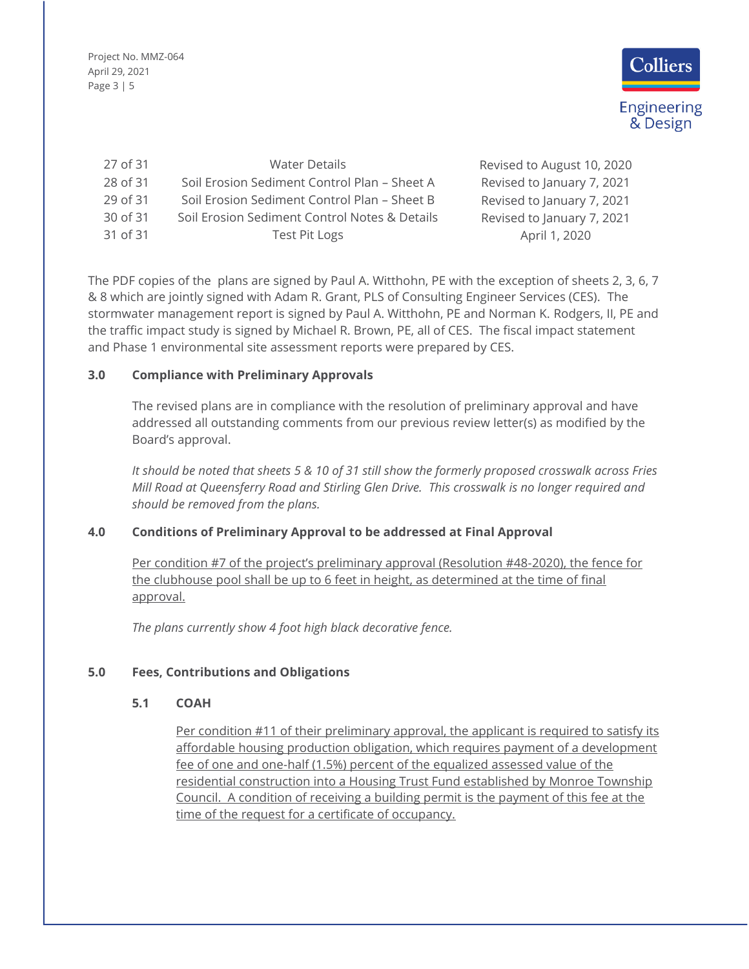Project No. MMZ-064 April 29, 2021 Page 3 | 5



| 27 of 31 | <b>Water Details</b>                          | Revised to August 10, 2020 |
|----------|-----------------------------------------------|----------------------------|
| 28 of 31 | Soil Erosion Sediment Control Plan - Sheet A  | Revised to January 7, 2021 |
| 29 of 31 | Soil Erosion Sediment Control Plan - Sheet B  | Revised to January 7, 2021 |
| 30 of 31 | Soil Erosion Sediment Control Notes & Details | Revised to January 7, 2021 |
| 31 of 31 | <b>Test Pit Logs</b>                          | April 1, 2020              |

The PDF copies of the plans are signed by Paul A. Witthohn, PE with the exception of sheets 2, 3, 6, 7 & 8 which are jointly signed with Adam R. Grant, PLS of Consulting Engineer Services (CES). The stormwater management report is signed by Paul A. Witthohn, PE and Norman K. Rodgers, II, PE and the traffic impact study is signed by Michael R. Brown, PE, all of CES. The fiscal impact statement and Phase 1 environmental site assessment reports were prepared by CES.

## **3.0 Compliance with Preliminary Approvals**

The revised plans are in compliance with the resolution of preliminary approval and have addressed all outstanding comments from our previous review letter(s) as modified by the Board's approval.

*It should be noted that sheets 5 & 10 of 31 still show the formerly proposed crosswalk across Fries Mill Road at Queensferry Road and Stirling Glen Drive. This crosswalk is no longer required and should be removed from the plans.*

# **4.0 Conditions of Preliminary Approval to be addressed at Final Approval**

Per condition #7 of the project's preliminary approval (Resolution #48-2020), the fence for the clubhouse pool shall be up to 6 feet in height, as determined at the time of final approval.

*The plans currently show 4 foot high black decorative fence.*

# **5.0 Fees, Contributions and Obligations**

### **5.1 COAH**

Per condition #11 of their preliminary approval, the applicant is required to satisfy its affordable housing production obligation, which requires payment of a development fee of one and one-half (1.5%) percent of the equalized assessed value of the residential construction into a Housing Trust Fund established by Monroe Township Council. A condition of receiving a building permit is the payment of this fee at the time of the request for a certificate of occupancy.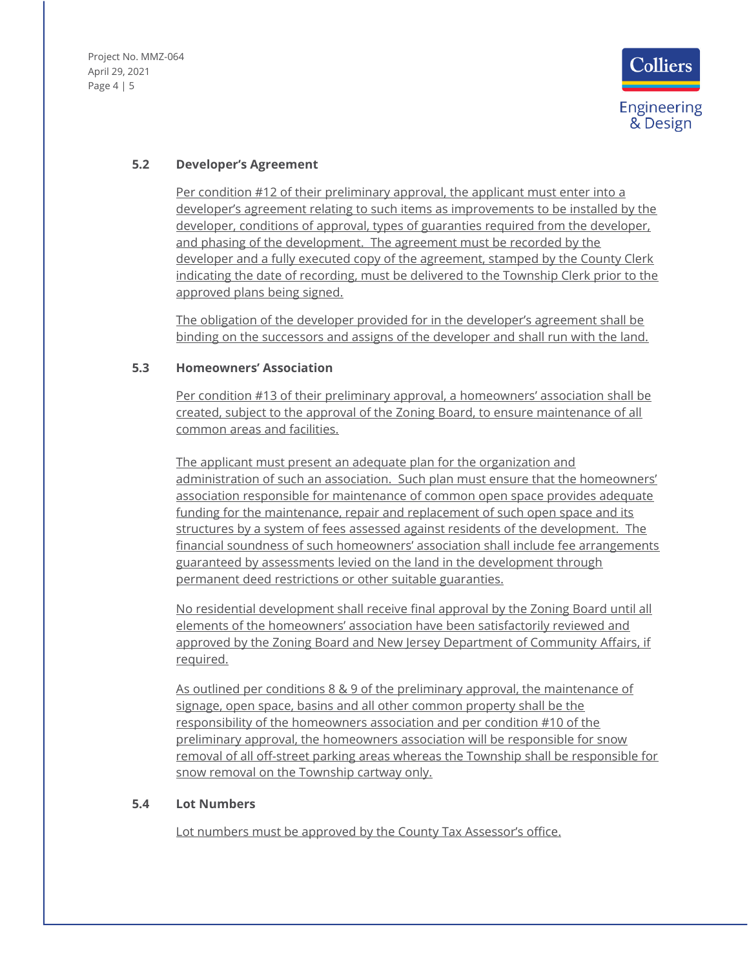Project No. MMZ-064 April 29, 2021 Page 4 | 5



## **5.2 Developer's Agreement**

Per condition #12 of their preliminary approval, the applicant must enter into a developer's agreement relating to such items as improvements to be installed by the developer, conditions of approval, types of guaranties required from the developer, and phasing of the development. The agreement must be recorded by the developer and a fully executed copy of the agreement, stamped by the County Clerk indicating the date of recording, must be delivered to the Township Clerk prior to the approved plans being signed.

The obligation of the developer provided for in the developer's agreement shall be binding on the successors and assigns of the developer and shall run with the land.

### **5.3 Homeowners' Association**

Per condition #13 of their preliminary approval, a homeowners' association shall be created, subject to the approval of the Zoning Board, to ensure maintenance of all common areas and facilities.

The applicant must present an adequate plan for the organization and administration of such an association. Such plan must ensure that the homeowners' association responsible for maintenance of common open space provides adequate funding for the maintenance, repair and replacement of such open space and its structures by a system of fees assessed against residents of the development. The financial soundness of such homeowners' association shall include fee arrangements guaranteed by assessments levied on the land in the development through permanent deed restrictions or other suitable guaranties.

No residential development shall receive final approval by the Zoning Board until all elements of the homeowners' association have been satisfactorily reviewed and approved by the Zoning Board and New Jersey Department of Community Affairs, if required.

As outlined per conditions 8 & 9 of the preliminary approval, the maintenance of signage, open space, basins and all other common property shall be the responsibility of the homeowners association and per condition #10 of the preliminary approval, the homeowners association will be responsible for snow removal of all off-street parking areas whereas the Township shall be responsible for snow removal on the Township cartway only.

#### **5.4 Lot Numbers**

Lot numbers must be approved by the County Tax Assessor's office.